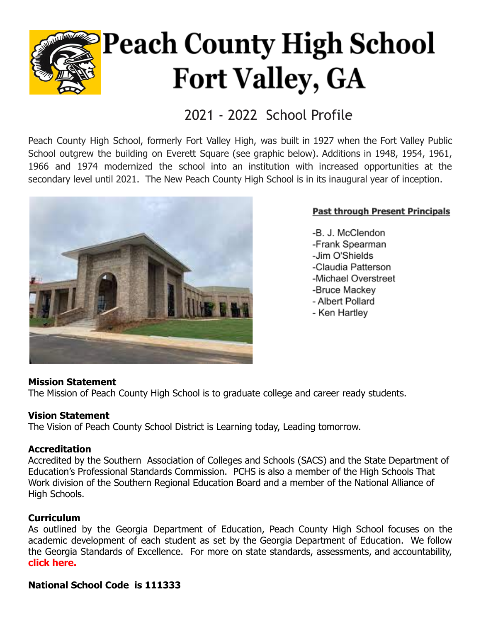

# **Peach County High School Fort Valley, GA**

### 2021 - 2022 School Profile

Peach County High School, formerly Fort Valley High, was built in 1927 when the Fort Valley Public School outgrew the building on Everett Square (see graphic below). Additions in 1948, 1954, 1961, 1966 and 1974 modernized the school into an institution with increased opportunities at the secondary level until 2021. The New Peach County High School is in its inaugural year of inception.



#### **Past through Present Principals**

-B. J. McClendon -Frank Spearman -Jim O'Shields -Claudia Patterson -Michael Overstreet -Bruce Mackey - Albert Pollard - Ken Hartlev

#### **Mission Statement**

The Mission of Peach County High School is to graduate college and career ready students.

#### **Vision Statement**

The Vision of Peach County School District is Learning today, Leading tomorrow.

#### **Accreditation**

Accredited by the Southern Association of Colleges and Schools (SACS) and the State Department of Education's Professional Standards Commission. PCHS is also a member of the High Schools That Work division of the Southern Regional Education Board and a member of the National Alliance of High Schools.

#### **Curriculum**

As outlined by the Georgia Department of Education, Peach County High School focuses on the academic development of each student as set by the Georgia Department of Education. We follow the Georgia Standards of Excellence. For more on state standards, assessments, and accountability, **[click here.](https://www.georgiastandards.org/Pages/default.aspx)**

#### **National School Code is 111333**